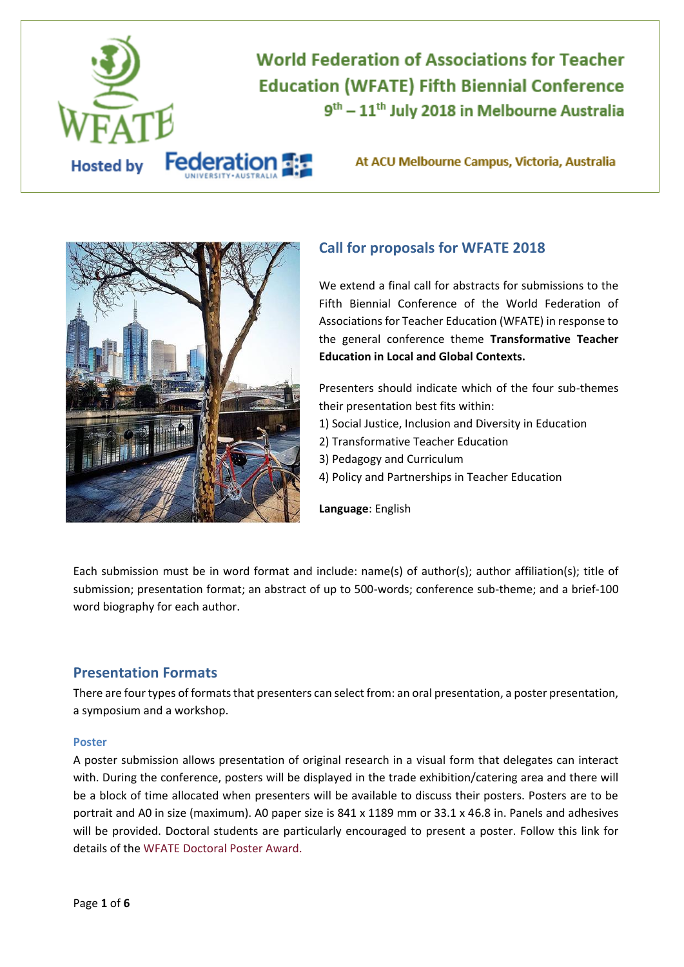

# **World Federation of Associations for Teacher Education (WFATE) Fifth Biennial Conference** 9<sup>th</sup> - 11<sup>th</sup> July 2018 in Melbourne Australia

At ACU Melbourne Campus, Victoria, Australia



## **Call for proposals for WFATE 2018**

We extend a final call for abstracts for submissions to the Fifth Biennial Conference of the World Federation of Associations for Teacher Education (WFATE) in response to the general conference theme **Transformative Teacher Education in Local and Global Contexts.**

Presenters should indicate which of the four sub-themes their presentation best fits within:

- 1) Social Justice, Inclusion and Diversity in Education
- 2) Transformative Teacher Education
- 3) Pedagogy and Curriculum
- 4) Policy and Partnerships in Teacher Education

**Language**: English

Each submission must be in word format and include: name(s) of author(s); author affiliation(s); title of submission; presentation format; an abstract of up to 500-words; conference sub-theme; and a brief-100 word biography for each author.

## **Presentation Formats**

There are four types of formats that presenters can select from: an oral presentation, a poster presentation, a symposium and a workshop.

#### **Poster**

A poster submission allows presentation of original research in a visual form that delegates can interact with. During the conference, posters will be displayed in the trade exhibition/catering area and there will be a block of time allocated when presenters will be available to discuss their posters. Posters are to be portrait and A0 in size (maximum). A0 paper size is 841 x 1189 mm or 33.1 x 46.8 in. Panels and adhesives will be provided. Doctoral students are particularly encouraged to present a poster. Follow this link for details of the [WFATE Doctoral Poster Award.](#page-3-0)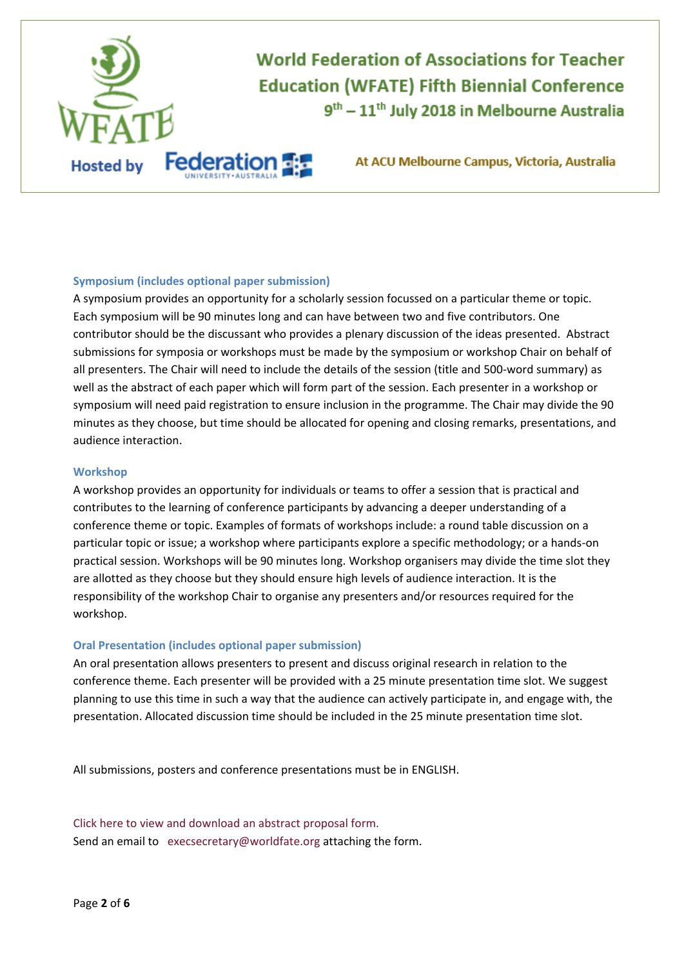

#### **Symposium (includes optional paper submission)**

A symposium provides an opportunity for a scholarly session focussed on a particular theme or topic. Each symposium will be 90 minutes long and can have between two and five contributors. One contributor should be the discussant who provides a plenary discussion of the ideas presented. Abstract submissions for symposia or workshops must be made by the symposium or workshop Chair on behalf of all presenters. The Chair will need to include the details of the session (title and 500-word summary) as well as the abstract of each paper which will form part of the session. Each presenter in a workshop or symposium will need paid registration to ensure inclusion in the programme. The Chair may divide the 90 minutes as they choose, but time should be allocated for opening and closing remarks, presentations, and audience interaction.

#### **Workshop**

A workshop provides an opportunity for individuals or teams to offer a session that is practical and contributes to the learning of conference participants by advancing a deeper understanding of a conference theme or topic. Examples of formats of workshops include: a round table discussion on a particular topic or issue; a workshop where participants explore a specific methodology; or a hands-on practical session. Workshops will be 90 minutes long. Workshop organisers may divide the time slot they are allotted as they choose but they should ensure high levels of audience interaction. It is the responsibility of the workshop Chair to organise any presenters and/or resources required for the workshop.

#### **Oral Presentation (includes optional paper submission)**

An oral presentation allows presenters to present and discuss original research in relation to the conference theme. Each presenter will be provided with a 25 minute presentation time slot. We suggest planning to use this time in such a way that the audience can actively participate in, and engage with, the presentation. Allocated discussion time should be included in the 25 minute presentation time slot.

All submissions, posters and conference presentations must be in ENGLISH.

[Click here to view and download an](file:///E:/WFATE%20Melbourne/call%20for%20abstracts/Abstract%20Proposal%20Form%5bfinal%5d.docx) abstract proposal form. Send an email t[o](mailto:%20%20confsubmissions@worldfate.org) execsecretary@worldfate.org attaching the form.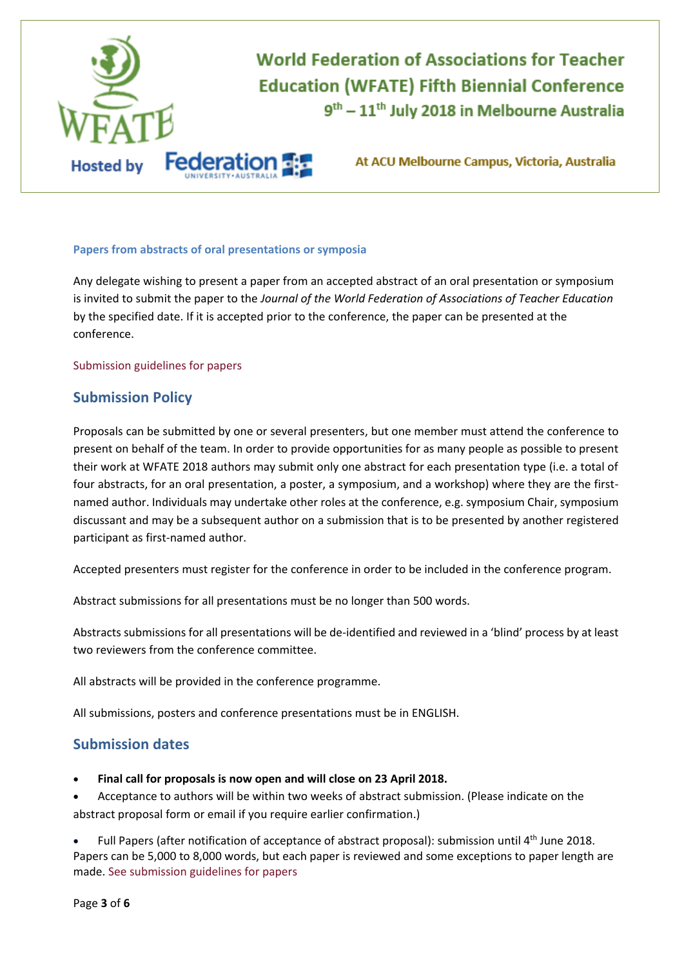

#### **Papers from abstracts of oral presentations or symposia**

Any delegate wishing to present a paper from an accepted abstract of an oral presentation or symposium is invited to submit the paper to the *Journal of the World Federation of Associations of Teacher Education* by the specified date. If it is accepted prior to the conference, the paper can be presented at the conference.

[Submission guidelines for papers](#page-4-0) 

## **Submission Policy**

Proposals can be submitted by one or several presenters, but one member must attend the conference to present on behalf of the team. In order to provide opportunities for as many people as possible to present their work at WFATE 2018 authors may submit only one abstract for each presentation type (i.e. a total of four abstracts, for an oral presentation, a poster, a symposium, and a workshop) where they are the firstnamed author. Individuals may undertake other roles at the conference, e.g. symposium Chair, symposium discussant and may be a subsequent author on a submission that is to be presented by another registered participant as first-named author.

Accepted presenters must register for the conference in order to be included in the conference program.

Abstract submissions for all presentations must be no longer than 500 words.

Abstracts submissions for all presentations will be de-identified and reviewed in a 'blind' process by at least two reviewers from the conference committee.

All abstracts will be provided in the conference programme.

All submissions, posters and conference presentations must be in ENGLISH.

## **Submission dates**

**Final call for proposals is now open and will close on 23 April 2018.**

 Acceptance to authors will be within two weeks of abstract submission. (Please indicate on the abstract proposal form or email if you require earlier confirmation.)

• Full Papers (after notification of acceptance of abstract proposal): submission until 4<sup>th</sup> June 2018. Papers can be 5,000 to 8,000 words, but each paper is reviewed and some exceptions to paper length are made. [See submission guidelines](file:///E:/WFATE%20Melbourne/call%20for%20abstracts/The%20WFATE%20Journal%20paper%20submission%20guidelines.docx) for papers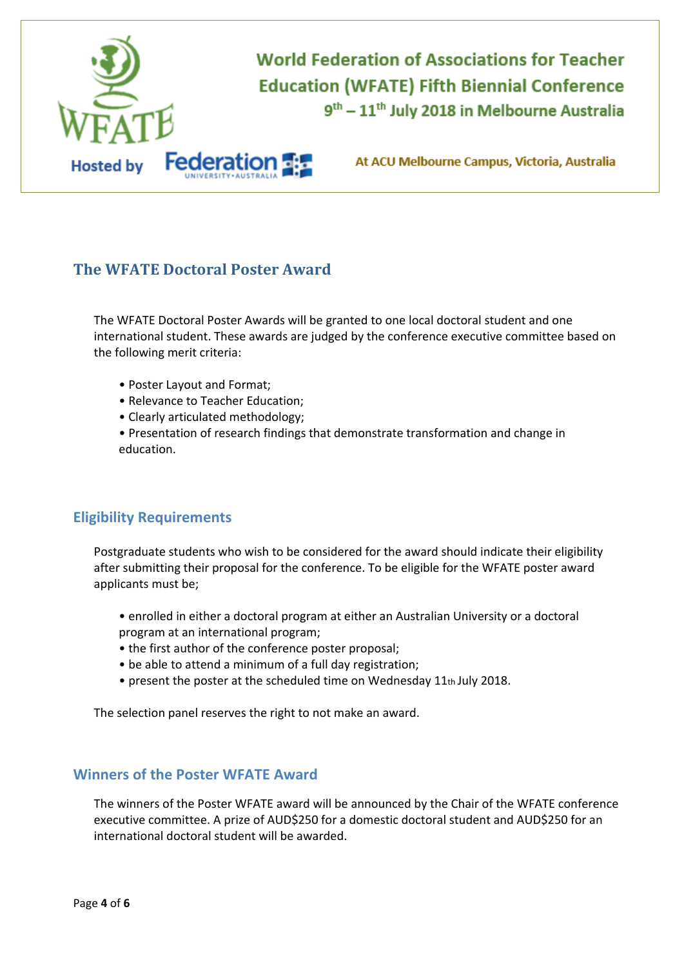

# <span id="page-3-0"></span>**The WFATE Doctoral Poster Award**

The WFATE Doctoral Poster Awards will be granted to one local doctoral student and one international student. These awards are judged by the conference executive committee based on the following merit criteria:

- Poster Layout and Format;
- Relevance to Teacher Education;
- Clearly articulated methodology;

• Presentation of research findings that demonstrate transformation and change in education.

## **Eligibility Requirements**

Postgraduate students who wish to be considered for the award should indicate their eligibility after submitting their proposal for the conference. To be eligible for the WFATE poster award applicants must be;

- enrolled in either a doctoral program at either an Australian University or a doctoral program at an international program;
- the first author of the conference poster proposal;
- be able to attend a minimum of a full day registration;
- present the poster at the scheduled time on Wednesday 11th July 2018.

The selection panel reserves the right to not make an award.

## **Winners of the Poster WFATE Award**

The winners of the Poster WFATE award will be announced by the Chair of the WFATE conference executive committee. A prize of AUD\$250 for a domestic doctoral student and AUD\$250 for an international doctoral student will be awarded.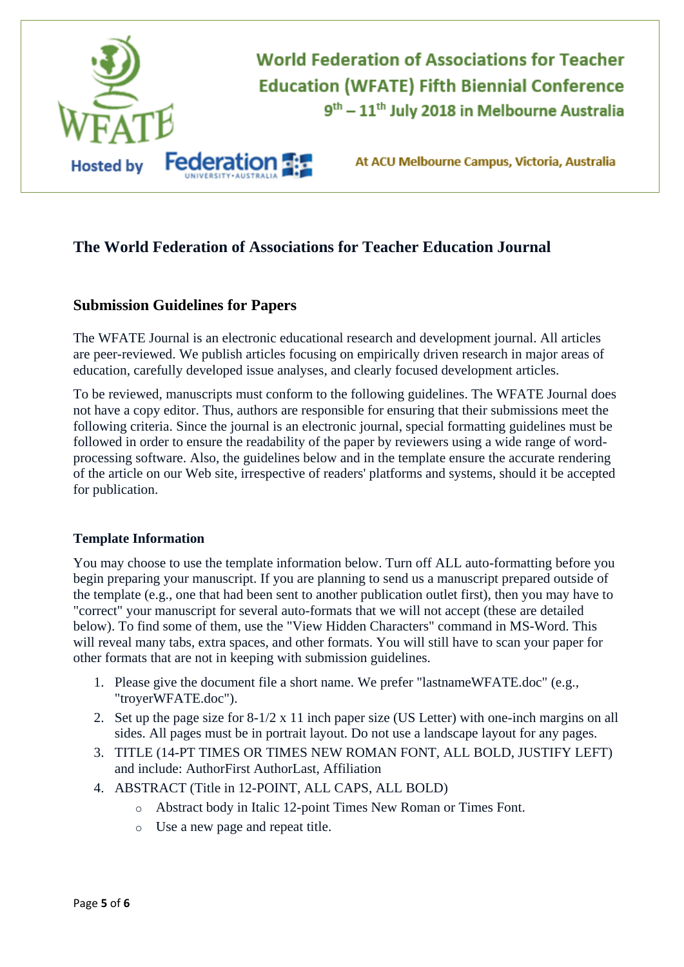

# **The World Federation of Associations for Teacher Education Journal**

## <span id="page-4-0"></span>**Submission Guidelines for Papers**

The WFATE Journal is an electronic educational research and development journal. All articles are peer-reviewed. We publish articles focusing on empirically driven research in major areas of education, carefully developed issue analyses, and clearly focused development articles.

To be reviewed, manuscripts must conform to the following guidelines. The WFATE Journal does not have a copy editor. Thus, authors are responsible for ensuring that their submissions meet the following criteria. Since the journal is an electronic journal, special formatting guidelines must be followed in order to ensure the readability of the paper by reviewers using a wide range of wordprocessing software. Also, the guidelines below and in the template ensure the accurate rendering of the article on our Web site, irrespective of readers' platforms and systems, should it be accepted for publication.

#### **Template Information**

You may choose to use the template information below. Turn off ALL auto-formatting before you begin preparing your manuscript. If you are planning to send us a manuscript prepared outside of the template (e.g., one that had been sent to another publication outlet first), then you may have to "correct" your manuscript for several auto-formats that we will not accept (these are detailed below). To find some of them, use the "View Hidden Characters" command in MS-Word. This will reveal many tabs, extra spaces, and other formats. You will still have to scan your paper for other formats that are not in keeping with submission guidelines.

- 1. Please give the document file a short name. We prefer "lastnameWFATE.doc" (e.g., "troyerWFATE.doc").
- 2. Set up the page size for 8-1/2 x 11 inch paper size (US Letter) with one-inch margins on all sides. All pages must be in portrait layout. Do not use a landscape layout for any pages.
- 3. TITLE (14-PT TIMES OR TIMES NEW ROMAN FONT, ALL BOLD, JUSTIFY LEFT) and include: AuthorFirst AuthorLast, Affiliation
- 4. ABSTRACT (Title in 12-POINT, ALL CAPS, ALL BOLD)
	- o Abstract body in Italic 12-point Times New Roman or Times Font.
	- o Use a new page and repeat title.